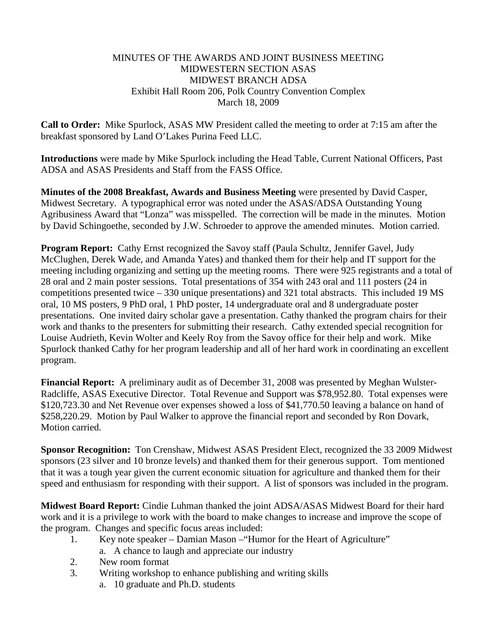#### MINUTES OF THE AWARDS AND JOINT BUSINESS MEETING MIDWESTERN SECTION ASAS MIDWEST BRANCH ADSA Exhibit Hall Room 206, Polk Country Convention Complex March 18, 2009

**Call to Order:** Mike Spurlock, ASAS MW President called the meeting to order at 7:15 am after the breakfast sponsored by Land O'Lakes Purina Feed LLC.

**Introductions** were made by Mike Spurlock including the Head Table, Current National Officers, Past ADSA and ASAS Presidents and Staff from the FASS Office.

**Minutes of the 2008 Breakfast, Awards and Business Meeting** were presented by David Casper, Midwest Secretary. A typographical error was noted under the ASAS/ADSA Outstanding Young Agribusiness Award that "Lonza" was misspelled. The correction will be made in the minutes. Motion by David Schingoethe, seconded by J.W. Schroeder to approve the amended minutes. Motion carried.

**Program Report:** Cathy Ernst recognized the Savoy staff (Paula Schultz, Jennifer Gavel, Judy McClughen, Derek Wade, and Amanda Yates) and thanked them for their help and IT support for the meeting including organizing and setting up the meeting rooms. There were 925 registrants and a total of 28 oral and 2 main poster sessions. Total presentations of 354 with 243 oral and 111 posters (24 in competitions presented twice – 330 unique presentations) and 321 total abstracts. This included 19 MS oral, 10 MS posters, 9 PhD oral, 1 PhD poster, 14 undergraduate oral and 8 undergraduate poster presentations. One invited dairy scholar gave a presentation. Cathy thanked the program chairs for their work and thanks to the presenters for submitting their research. Cathy extended special recognition for Louise Audrieth, Kevin Wolter and Keely Roy from the Savoy office for their help and work. Mike Spurlock thanked Cathy for her program leadership and all of her hard work in coordinating an excellent program.

**Financial Report:** A preliminary audit as of December 31, 2008 was presented by Meghan Wulster-Radcliffe, ASAS Executive Director. Total Revenue and Support was \$78,952.80. Total expenses were \$120,723.30 and Net Revenue over expenses showed a loss of \$41,770.50 leaving a balance on hand of \$258,220.29. Motion by Paul Walker to approve the financial report and seconded by Ron Dovark, Motion carried.

**Sponsor Recognition:** Ton Crenshaw, Midwest ASAS President Elect, recognized the 33 2009 Midwest sponsors (23 silver and 10 bronze levels) and thanked them for their generous support. Tom mentioned that it was a tough year given the current economic situation for agriculture and thanked them for their speed and enthusiasm for responding with their support. A list of sponsors was included in the program.

**Midwest Board Report:** Cindie Luhman thanked the joint ADSA/ASAS Midwest Board for their hard work and it is a privilege to work with the board to make changes to increase and improve the scope of the program. Changes and specific focus areas included:

- 1. Key note speaker Damian Mason –"Humor for the Heart of Agriculture"
	- a. A chance to laugh and appreciate our industry
- 2. New room format
- 3. Writing workshop to enhance publishing and writing skills
	- a. 10 graduate and Ph.D. students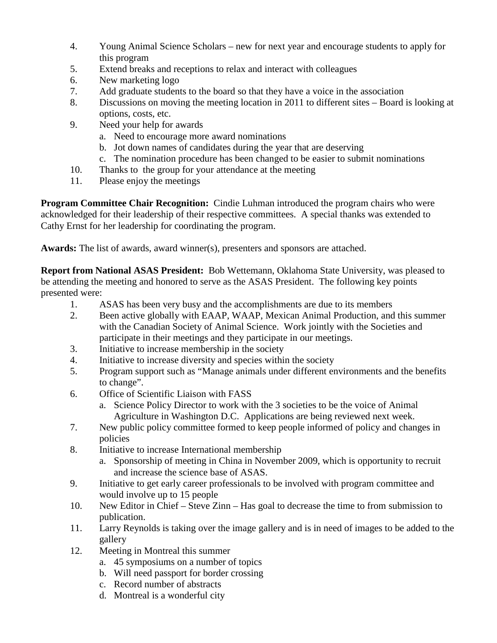- 4. Young Animal Science Scholars new for next year and encourage students to apply for this program
- 5. Extend breaks and receptions to relax and interact with colleagues
- 6. New marketing logo
- 7. Add graduate students to the board so that they have a voice in the association
- 8. Discussions on moving the meeting location in 2011 to different sites Board is looking at options, costs, etc.
- 9. Need your help for awards
	- a. Need to encourage more award nominations
	- b. Jot down names of candidates during the year that are deserving
	- c. The nomination procedure has been changed to be easier to submit nominations
- 10. Thanks to the group for your attendance at the meeting
- 11. Please enjoy the meetings

**Program Committee Chair Recognition:** Cindie Luhman introduced the program chairs who were acknowledged for their leadership of their respective committees. A special thanks was extended to Cathy Ernst for her leadership for coordinating the program.

**Awards:** The list of awards, award winner(s), presenters and sponsors are attached.

**Report from National ASAS President:** Bob Wettemann, Oklahoma State University, was pleased to be attending the meeting and honored to serve as the ASAS President. The following key points presented were:

- 1. ASAS has been very busy and the accomplishments are due to its members
- 2. Been active globally with EAAP, WAAP, Mexican Animal Production, and this summer with the Canadian Society of Animal Science. Work jointly with the Societies and participate in their meetings and they participate in our meetings.
- 3. Initiative to increase membership in the society
- 4. Initiative to increase diversity and species within the society
- 5. Program support such as "Manage animals under different environments and the benefits to change".
- 6. Office of Scientific Liaison with FASS
	- a. Science Policy Director to work with the 3 societies to be the voice of Animal Agriculture in Washington D.C. Applications are being reviewed next week.
- 7. New public policy committee formed to keep people informed of policy and changes in policies
- 8. Initiative to increase International membership
	- a. Sponsorship of meeting in China in November 2009, which is opportunity to recruit and increase the science base of ASAS.
- 9. Initiative to get early career professionals to be involved with program committee and would involve up to 15 people
- 10. New Editor in Chief Steve Zinn Has goal to decrease the time to from submission to publication.
- 11. Larry Reynolds is taking over the image gallery and is in need of images to be added to the gallery
- 12. Meeting in Montreal this summer
	- a. 45 symposiums on a number of topics
	- b. Will need passport for border crossing
	- c. Record number of abstracts
	- d. Montreal is a wonderful city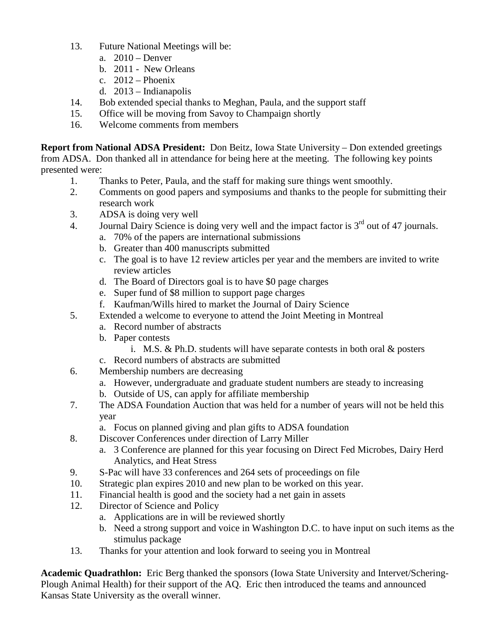- 13. Future National Meetings will be:
	- a. 2010 Denver
	- b. 2011 New Orleans
	- c.  $2012$  Phoenix
	- d. 2013 Indianapolis
- 14. Bob extended special thanks to Meghan, Paula, and the support staff
- 15. Office will be moving from Savoy to Champaign shortly
- 16. Welcome comments from members

**Report from National ADSA President:** Don Beitz, Iowa State University – Don extended greetings from ADSA. Don thanked all in attendance for being here at the meeting. The following key points presented were:

- 1. Thanks to Peter, Paula, and the staff for making sure things went smoothly.
- 2. Comments on good papers and symposiums and thanks to the people for submitting their research work
- 3. ADSA is doing very well
- 4. Journal Dairy Science is doing very well and the impact factor is  $3<sup>rd</sup>$  out of 47 journals.
	- a. 70% of the papers are international submissions
		- b. Greater than 400 manuscripts submitted
		- c. The goal is to have 12 review articles per year and the members are invited to write review articles
		- d. The Board of Directors goal is to have \$0 page charges
		- e. Super fund of \$8 million to support page charges
	- f. Kaufman/Wills hired to market the Journal of Dairy Science
- 5. Extended a welcome to everyone to attend the Joint Meeting in Montreal
	- a. Record number of abstracts
	- b. Paper contests
		- i. M.S. & Ph.D. students will have separate contests in both oral  $\&$  posters
	- c. Record numbers of abstracts are submitted
- 6. Membership numbers are decreasing
	- a. However, undergraduate and graduate student numbers are steady to increasing
	- b. Outside of US, can apply for affiliate membership
- 7. The ADSA Foundation Auction that was held for a number of years will not be held this year
	- a. Focus on planned giving and plan gifts to ADSA foundation
- 8. Discover Conferences under direction of Larry Miller
	- a. 3 Conference are planned for this year focusing on Direct Fed Microbes, Dairy Herd Analytics, and Heat Stress
- 9. S-Pac will have 33 conferences and 264 sets of proceedings on file
- 10. Strategic plan expires 2010 and new plan to be worked on this year.
- 11. Financial health is good and the society had a net gain in assets
- 12. Director of Science and Policy
	- a. Applications are in will be reviewed shortly
	- b. Need a strong support and voice in Washington D.C. to have input on such items as the stimulus package
- 13. Thanks for your attention and look forward to seeing you in Montreal

**Academic Quadrathlon:** Eric Berg thanked the sponsors (Iowa State University and Intervet/Schering-Plough Animal Health) for their support of the AQ. Eric then introduced the teams and announced Kansas State University as the overall winner.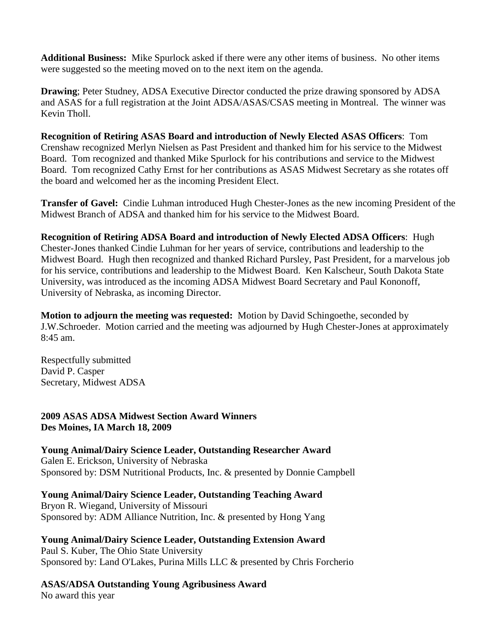**Additional Business:** Mike Spurlock asked if there were any other items of business. No other items were suggested so the meeting moved on to the next item on the agenda.

**Drawing**; Peter Studney, ADSA Executive Director conducted the prize drawing sponsored by ADSA and ASAS for a full registration at the Joint ADSA/ASAS/CSAS meeting in Montreal. The winner was Kevin Tholl.

**Recognition of Retiring ASAS Board and introduction of Newly Elected ASAS Officers**: Tom Crenshaw recognized Merlyn Nielsen as Past President and thanked him for his service to the Midwest Board. Tom recognized and thanked Mike Spurlock for his contributions and service to the Midwest Board. Tom recognized Cathy Ernst for her contributions as ASAS Midwest Secretary as she rotates off the board and welcomed her as the incoming President Elect.

**Transfer of Gavel:** Cindie Luhman introduced Hugh Chester-Jones as the new incoming President of the Midwest Branch of ADSA and thanked him for his service to the Midwest Board.

**Recognition of Retiring ADSA Board and introduction of Newly Elected ADSA Officers**: Hugh Chester-Jones thanked Cindie Luhman for her years of service, contributions and leadership to the Midwest Board. Hugh then recognized and thanked Richard Pursley, Past President, for a marvelous job for his service, contributions and leadership to the Midwest Board. Ken Kalscheur, South Dakota State University, was introduced as the incoming ADSA Midwest Board Secretary and Paul Kononoff, University of Nebraska, as incoming Director.

**Motion to adjourn the meeting was requested:** Motion by David Schingoethe, seconded by J.W.Schroeder. Motion carried and the meeting was adjourned by Hugh Chester-Jones at approximately 8:45 am.

Respectfully submitted David P. Casper Secretary, Midwest ADSA

**2009 ASAS ADSA Midwest Section Award Winners Des Moines, IA March 18, 2009**

**Young Animal/Dairy Science Leader, Outstanding Researcher Award** Galen E. Erickson, University of Nebraska Sponsored by: DSM Nutritional Products, Inc. & presented by Donnie Campbell

**Young Animal/Dairy Science Leader, Outstanding Teaching Award** Bryon R. Wiegand, University of Missouri Sponsored by: ADM Alliance Nutrition, Inc. & presented by Hong Yang

**Young Animal/Dairy Science Leader, Outstanding Extension Award** Paul S. Kuber, The Ohio State University Sponsored by: Land O'Lakes, Purina Mills LLC & presented by Chris Forcherio

**ASAS/ADSA Outstanding Young Agribusiness Award** No award this year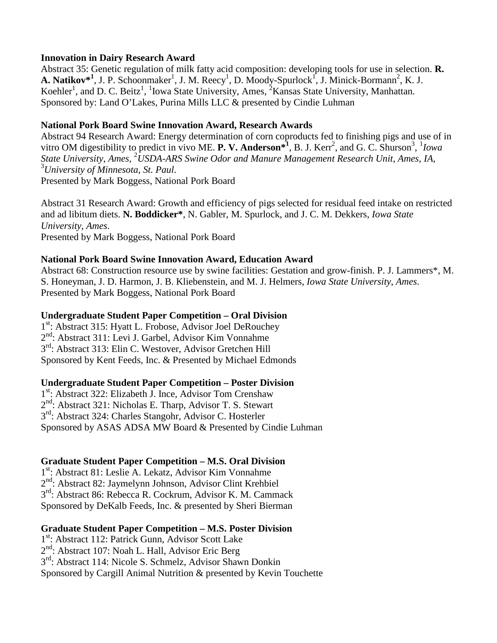#### **Innovation in Dairy Research Award**

Abstract 35: Genetic regulation of milk fatty acid composition: developing tools for use in selection. **R.**  A. Natikov<sup>\*1</sup>, J. P. Schoonmaker<sup>1</sup>, J. M. Reecy<sup>1</sup>, D. Moody-Spurlock<sup>1</sup>, J. Minick-Bormann<sup>2</sup>, K. J. Koehler<sup>1</sup>, and D. C. Beitz<sup>1</sup>, <sup>1</sup>Iowa State University, Ames, <sup>2</sup>Kansas State University, Manhattan. Sponsored by: Land O'Lakes, Purina Mills LLC & presented by Cindie Luhman

## **National Pork Board Swine Innovation Award, Research Awards**

Abstract 94 Research Award: Energy determination of corn coproducts fed to finishing pigs and use of in vitro OM digestibility to predict in vivo ME. **P. V. Anderson**<sup>\$1</sup>, B. J. Kerr<sup>2</sup>, and G. C. Shurson<sup>3</sup>, <sup>1</sup>*Iowa* State University, Ames, <sup>2</sup>USDA-ARS Swine Odor and Manure Management Research Unit, Ames, IA, <sup>3</sup>University of Minnesota, St. Paul *University of Minnesota*, *St. Paul*. Presented by Mark Boggess, National Pork Board

Abstract 31 Research Award: Growth and efficiency of pigs selected for residual feed intake on restricted and ad libitum diets. **N. Boddicker\***, N. Gabler, M. Spurlock, and J. C. M. Dekkers, *Iowa State University*, *Ames*. Presented by Mark Boggess, National Pork Board

### **National Pork Board Swine Innovation Award, Education Award**

Abstract 68: Construction resource use by swine facilities: Gestation and grow-finish. P. J. Lammers\*, M. S. Honeyman, J. D. Harmon, J. B. Kliebenstein, and M. J. Helmers, *Iowa State University*, *Ames*. Presented by Mark Boggess, National Pork Board

### **Undergraduate Student Paper Competition – Oral Division**

1<sup>st</sup>: Abstract 315: Hyatt L. Frobose, Advisor Joel DeRouchey 2nd: Abstract 311: Levi J. Garbel, Advisor Kim Vonnahme  $3<sup>rd</sup>$ : Abstract 313: Elin C. Westover, Advisor Gretchen Hill Sponsored by Kent Feeds, Inc. & Presented by Michael Edmonds

#### **Undergraduate Student Paper Competition – Poster Division**

1<sup>st</sup>: Abstract 322: Elizabeth J. Ince, Advisor Tom Crenshaw  $2<sup>nd</sup>$ : Abstract 321: Nicholas E. Tharp, Advisor T. S. Stewart 3rd: Abstract 324: Charles Stangohr, Advisor C. Hosterler Sponsored by ASAS ADSA MW Board & Presented by Cindie Luhman

# **Graduate Student Paper Competition – M.S. Oral Division**

1<sup>st</sup>: Abstract 81: Leslie A. Lekatz, Advisor Kim Vonnahme 2nd: Abstract 82: Jaymelynn Johnson, Advisor Clint Krehbiel  $3<sup>rd</sup>$ : Abstract 86: Rebecca R. Cockrum, Advisor K. M. Cammack Sponsored by DeKalb Feeds, Inc. & presented by Sheri Bierman

# **Graduate Student Paper Competition – M.S. Poster Division**

1<sup>st</sup>: Abstract 112: Patrick Gunn, Advisor Scott Lake

2<sup>nd</sup>: Abstract 107: Noah L. Hall, Advisor Eric Berg

3rd: Abstract 114: Nicole S. Schmelz, Advisor Shawn Donkin

Sponsored by Cargill Animal Nutrition & presented by Kevin Touchette